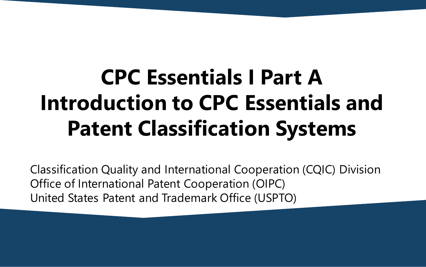# **CPC Essentials I Part A Introduction to CPC Essentials and Patent Classification Systems**

Classification Quality and International Cooperation (CQIC) Division Office of International Patent Cooperation (OIPC) United States Patent and Trademark Office (USPTO)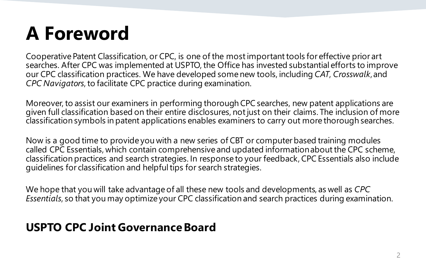### **A Foreword**

Cooperative Patent Classification, or CPC, is one of the most important tools for effective prior art searches. After CPC was implemented at USPTO, the Office has invested substantial efforts to improve our CPC classification practices. We have developed some new tools, including *CAT*, *Crosswalk*, and *CPC Navigators*, to facilitate CPC practice during examination.

Moreover, to assist our examiners in performing thorough CPC searches, new patent applications are given full classification based on their entire disclosures, not just on their claims. The inclusion of more classification symbols in patent applications enables examiners to carry out more thorough searches.

Now is a good time to provide you with a new series of CBT or computer based training modules called CPC Essentials, which contain comprehensive and updated information about the CPC scheme, classification practices and search strategies. In response to your feedback, CPC Essentials also include guidelines for classification and helpful tips for search strategies.

We hope that you will take advantage of all these new tools and developments, as well as *CPC Essentials*, so that you may optimize your CPC classification and search practices during examination.

#### **USPTO CPC Joint GovernanceBoard**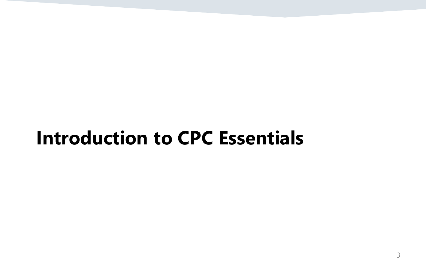#### **Introduction to CPC Essentials**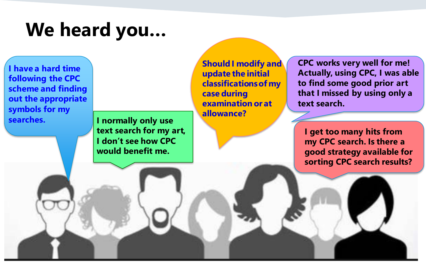### **We heard you…**

**I have a hard time following the CPC scheme and finding out the appropriate symbols for my searches.** 

**I normally only use text search for my art, I don't see how CPC would benefit me.**

**Should I modify and update the initial classifications of my case during examination or at allowance?**

**CPC works very well for me! Actually, using CPC, I was able to find some good prior art that I missed by using only a text search.**

**I get too many hits from my CPC search. Is there a good strategy available for sorting CPC search results?**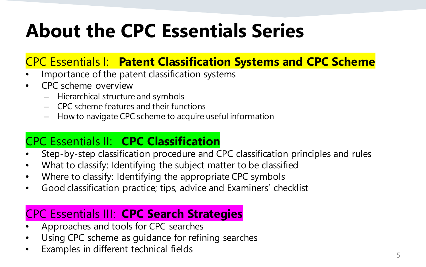## **About the CPC Essentials Series**

#### CPC Essentials I: **Patent Classification Systems and CPC Scheme**

- Importance of the patent classification systems
- CPC scheme overview
	- Hierarchical structure and symbols
	- CPC scheme features and their functions
	- How to navigate CPC scheme to acquire useful information

#### CPC Essentials II: **CPC Classification**

- Step-by-step classification procedure and CPC classification principles and rules
- What to classify: Identifying the subject matter to be classified
- Where to classify: Identifying the appropriate CPC symbols
- Good classification practice; tips, advice and Examiners' checklist

#### CPC Essentials III: **CPC Search Strategies**

- Approaches and tools for CPC searches
- Using CPC scheme as guidance for refining searches
- Examples in different technical fields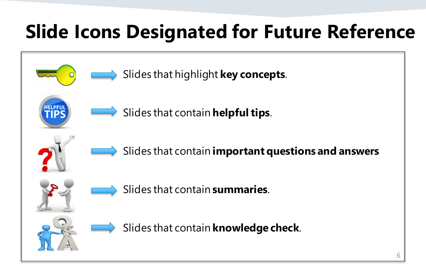## **Slide Icons Designated for Future Reference**

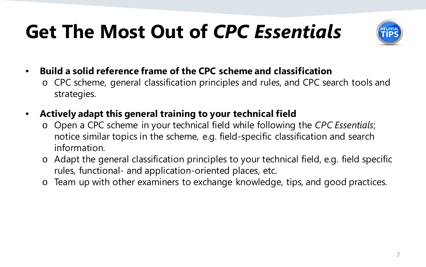## **Get The Most Out of** *CPC Essentials*



- **Build a solid reference frame of the CPC scheme and classification**
	- o CPC scheme, general classification principles and rules, and CPC search tools and strategies.
- **Actively adapt this general training to your technical field**
	- o Open a CPC scheme in your technical field while following the *CPC Essentials*; notice similar topics in the scheme, e.g. field-specific classification and search information.
	- o Adapt the general classification principles to your technical field, e.g. field specific rules, functional- and application-oriented places, etc.
	- o Team up with other examiners to exchange knowledge, tips, and good practices.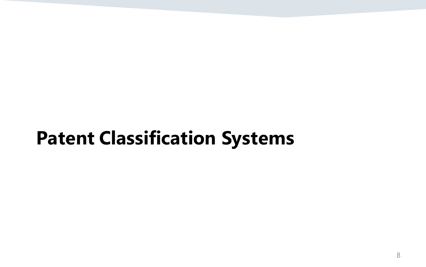### **Patent Classification Systems**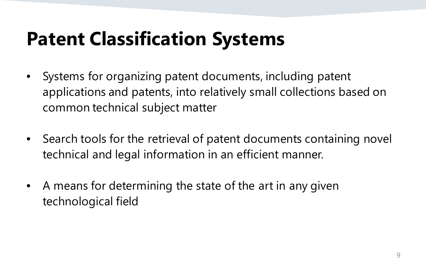## **Patent Classification Systems**

- Systems for organizing patent documents, including patent applications and patents, into relatively small collections based on common technical subject matter
- Search tools for the retrieval of patent documents containing novel technical and legal information in an efficient manner.
- A means for determining the state of the art in any given technological field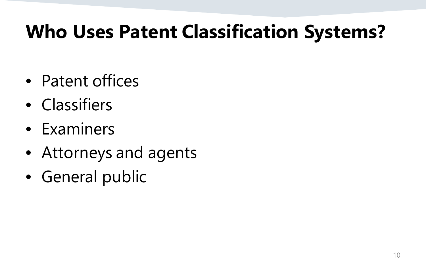### **Who Uses Patent Classification Systems?**

- Patent offices
- Classifiers
- Examiners
- Attorneys and agents
- General public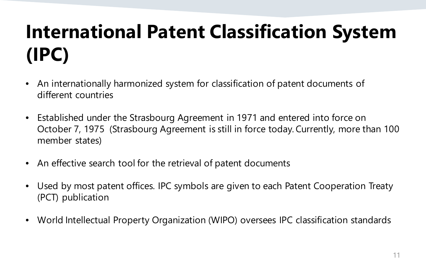## **International Patent Classification System (IPC)**

- An internationally harmonized system for classification of patent documents of different countries
- Established under the Strasbourg Agreement in 1971 and entered into force on October 7, 1975 (Strasbourg Agreement is still in force today. Currently, more than 100 member states)
- An effective search tool for the retrieval of patent documents
- Used by most patent offices. IPC symbols are given to each Patent Cooperation Treaty (PCT) publication
- World Intellectual Property Organization (WIPO) oversees IPC classification standards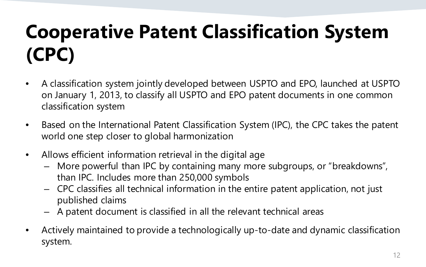## **Cooperative Patent Classification System (CPC)**

- A classification system jointly developed between USPTO and EPO, launched at USPTO on January 1, 2013, to classify all USPTO and EPO patent documents in one common classification system
- Based on the International Patent Classification System (IPC), the CPC takes the patent world one step closer to global harmonization
- Allows efficient information retrieval in the digital age
	- More powerful than IPC by containing many more subgroups, or "breakdowns", than IPC. Includes more than 250,000 symbols
	- CPC classifies all technical information in the entire patent application, not just published claims
	- A patent document is classified in all the relevant technical areas
- Actively maintained to provide a technologically up-to-date and dynamic classification system.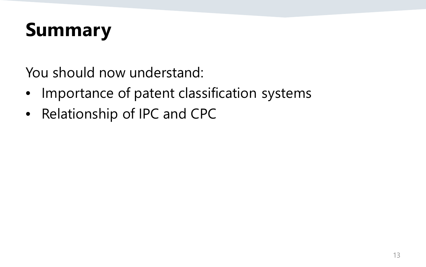### **Summary**

You should now understand:

- Importance of patent classification systems
- Relationship of IPC and CPC